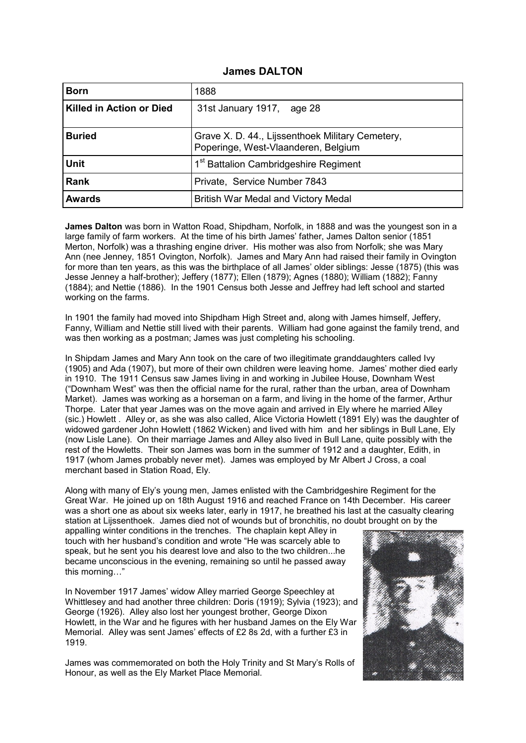#### **James DALTON**

| <b>Born</b>              | 1888                                                                                    |
|--------------------------|-----------------------------------------------------------------------------------------|
| Killed in Action or Died | 31st January 1917, age 28                                                               |
| <b>Buried</b>            | Grave X. D. 44., Lijssenthoek Military Cemetery,<br>Poperinge, West-Vlaanderen, Belgium |
| <b>Unit</b>              | 1 <sup>st</sup> Battalion Cambridgeshire Regiment                                       |
| <b>Rank</b>              | Private, Service Number 7843                                                            |
| <b>Awards</b>            | British War Medal and Victory Medal                                                     |

**James Dalton** was born in Watton Road, Shipdham, Norfolk, in 1888 and was the youngest son in a large family of farm workers. At the time of his birth James' father, James Dalton senior (1851 Merton, Norfolk) was a thrashing engine driver. His mother was also from Norfolk; she was Mary Ann (nee Jenney, 1851 Ovington, Norfolk). James and Mary Ann had raised their family in Ovington for more than ten years, as this was the birthplace of all James' older siblings: Jesse (1875) (this was Jesse Jenney a half-brother); Jeffery (1877); Ellen (1879); Agnes (1880); William (1882); Fanny (1884); and Nettie (1886). In the 1901 Census both Jesse and Jeffrey had left school and started working on the farms.

In 1901 the family had moved into Shipdham High Street and, along with James himself, Jeffery, Fanny, William and Nettie still lived with their parents. William had gone against the family trend, and was then working as a postman; James was just completing his schooling.

In Shipdam James and Mary Ann took on the care of two illegitimate granddaughters called Ivy (1905) and Ada (1907), but more of their own children were leaving home. James' mother died early in 1910. The 1911 Census saw James living in and working in Jubilee House, Downham West ("Downham West" was then the official name for the rural, rather than the urban, area of Downham Market). James was working as a horseman on a farm, and living in the home of the farmer, Arthur Thorpe. Later that year James was on the move again and arrived in Ely where he married Alley (sic.) Howlett . Alley or, as she was also called, Alice Victoria Howlett (1891 Ely) was the daughter of widowed gardener John Howlett (1862 Wicken) and lived with him and her siblings in Bull Lane, Ely (now Lisle Lane). On their marriage James and Alley also lived in Bull Lane, quite possibly with the rest of the Howletts. Their son James was born in the summer of 1912 and a daughter, Edith, in 1917 (whom James probably never met). James was employed by Mr Albert J Cross, a coal merchant based in Station Road, Ely.

Along with many of Ely's young men, James enlisted with the Cambridgeshire Regiment for the Great War. He joined up on 18th August 1916 and reached France on 14th December. His career was a short one as about six weeks later, early in 1917, he breathed his last at the casualty clearing station at Lijssenthoek. James died not of wounds but of bronchitis, no doubt brought on by the

appalling winter conditions in the trenches. The chaplain kept Alley in touch with her husband's condition and wrote "He was scarcely able to speak, but he sent you his dearest love and also to the two children...he became unconscious in the evening, remaining so until he passed away this morning…"

In November 1917 James' widow Alley married George Speechley at Whittlesey and had another three children: Doris (1919); Sylvia (1923); and George (1926). Alley also lost her youngest brother, George Dixon Howlett, in the War and he figures with her husband James on the Ely War Memorial. Alley was sent James' effects of £2 8s 2d, with a further £3 in 1919.

James was commemorated on both the Holy Trinity and St Mary's Rolls of Honour, as well as the Ely Market Place Memorial.

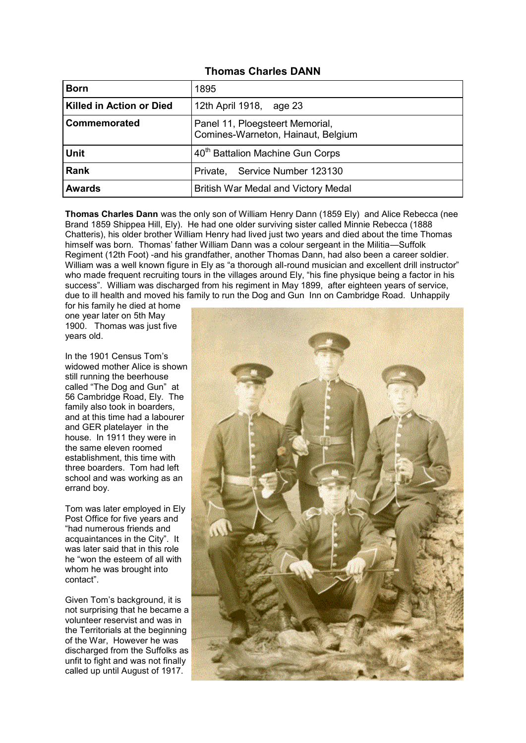### **Thomas Charles DANN**

| <b>Born</b>              | 1895                                                                  |
|--------------------------|-----------------------------------------------------------------------|
| Killed in Action or Died | 12th April 1918, age 23                                               |
| Commemorated             | Panel 11, Ploegsteert Memorial,<br>Comines-Warneton, Hainaut, Belgium |
| <b>Unit</b>              | 40 <sup>th</sup> Battalion Machine Gun Corps                          |
| <b>Rank</b>              | Private, Service Number 123130                                        |
| <b>Awards</b>            | British War Medal and Victory Medal                                   |

**Thomas Charles Dann** was the only son of William Henry Dann (1859 Ely) and Alice Rebecca (nee Brand 1859 Shippea Hill, Ely). He had one older surviving sister called Minnie Rebecca (1888 Chatteris), his older brother William Henry had lived just two years and died about the time Thomas himself was born. Thomas' father William Dann was a colour sergeant in the Militia—Suffolk Regiment (12th Foot) -and his grandfather, another Thomas Dann, had also been a career soldier. William was a well known figure in Ely as "a thorough all-round musician and excellent drill instructor" who made frequent recruiting tours in the villages around Ely, "his fine physique being a factor in his success". William was discharged from his regiment in May 1899, after eighteen years of service, due to ill health and moved his family to run the Dog and Gun Inn on Cambridge Road. Unhappily

for his family he died at home one year later on 5th May 1900. Thomas was just five years old.

In the 1901 Census Tom's widowed mother Alice is shown still running the beerhouse called "The Dog and Gun" at 56 Cambridge Road, Ely. The family also took in boarders, and at this time had a labourer and GER platelayer in the house. In 1911 they were in the same eleven roomed establishment, this time with three boarders. Tom had left school and was working as an errand boy.

Tom was later employed in Ely Post Office for five years and "had numerous friends and acquaintances in the City". It was later said that in this role he "won the esteem of all with whom he was brought into contact".

Given Tom's background, it is not surprising that he became a volunteer reservist and was in the Territorials at the beginning of the War, However he was discharged from the Suffolks as unfit to fight and was not finally called up until August of 1917.

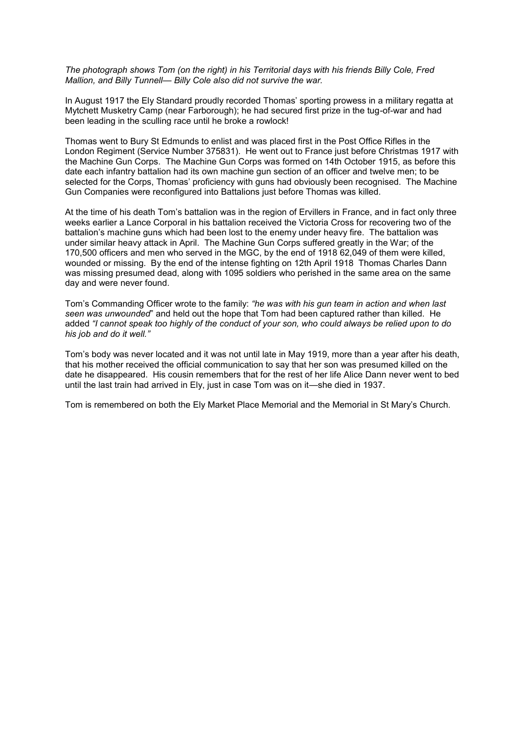*The photograph shows Tom (on the right) in his Territorial days with his friends Billy Cole, Fred Mallion, and Billy Tunnell— Billy Cole also did not survive the war.*

In August 1917 the Ely Standard proudly recorded Thomas' sporting prowess in a military regatta at Mytchett Musketry Camp (near Farborough); he had secured first prize in the tug-of-war and had been leading in the sculling race until he broke a rowlock!

Thomas went to Bury St Edmunds to enlist and was placed first in the Post Office Rifles in the London Regiment (Service Number 375831). He went out to France just before Christmas 1917 with the Machine Gun Corps. The Machine Gun Corps was formed on 14th October 1915, as before this date each infantry battalion had its own machine gun section of an officer and twelve men; to be selected for the Corps, Thomas' proficiency with guns had obviously been recognised. The Machine Gun Companies were reconfigured into Battalions just before Thomas was killed.

At the time of his death Tom's battalion was in the region of Ervillers in France, and in fact only three weeks earlier a Lance Corporal in his battalion received the Victoria Cross for recovering two of the battalion's machine guns which had been lost to the enemy under heavy fire. The battalion was under similar heavy attack in April. The Machine Gun Corps suffered greatly in the War; of the 170,500 officers and men who served in the MGC, by the end of 1918 62,049 of them were killed, wounded or missing. By the end of the intense fighting on 12th April 1918 Thomas Charles Dann was missing presumed dead, along with 1095 soldiers who perished in the same area on the same day and were never found.

Tom's Commanding Officer wrote to the family: *"he was with his gun team in action and when last seen was unwounded*" and held out the hope that Tom had been captured rather than killed. He added *"I cannot speak too highly of the conduct of your son, who could always be relied upon to do his job and do it well."*

Tom's body was never located and it was not until late in May 1919, more than a year after his death, that his mother received the official communication to say that her son was presumed killed on the date he disappeared. His cousin remembers that for the rest of her life Alice Dann never went to bed until the last train had arrived in Ely, just in case Tom was on it—she died in 1937.

Tom is remembered on both the Ely Market Place Memorial and the Memorial in St Mary's Church.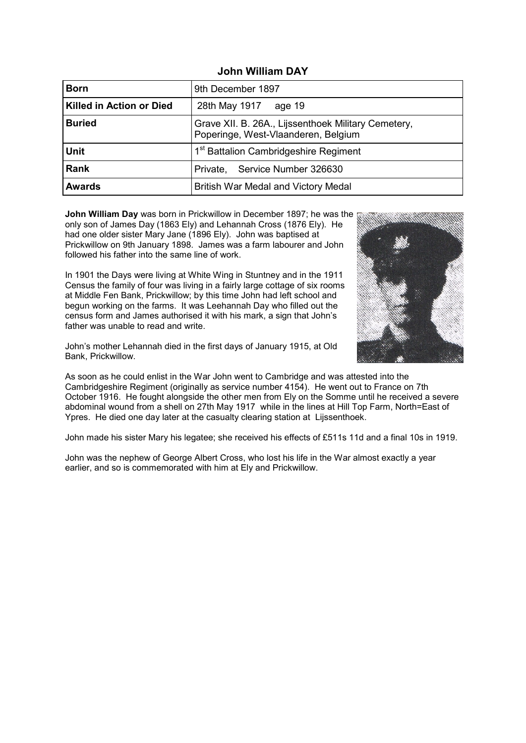| <b>Born</b>              | 9th December 1897                                                                          |
|--------------------------|--------------------------------------------------------------------------------------------|
| Killed in Action or Died | 28th May 1917 age 19                                                                       |
| <b>Buried</b>            | Grave XII. B. 26A., Lijssenthoek Military Cemetery,<br>Poperinge, West-Vlaanderen, Belgium |
| <b>Unit</b>              | 1 <sup>st</sup> Battalion Cambridgeshire Regiment                                          |
| Rank                     | Private, Service Number 326630                                                             |
| <b>Awards</b>            | British War Medal and Victory Medal                                                        |

## **John William DAY**

**John William Day** was born in Prickwillow in December 1897; he was the only son of James Day (1863 Ely) and Lehannah Cross (1876 Ely). He had one older sister Mary Jane (1896 Ely). John was baptised at Prickwillow on 9th January 1898. James was a farm labourer and John followed his father into the same line of work.

In 1901 the Days were living at White Wing in Stuntney and in the 1911 Census the family of four was living in a fairly large cottage of six rooms at Middle Fen Bank, Prickwillow; by this time John had left school and begun working on the farms. It was Leehannah Day who filled out the census form and James authorised it with his mark, a sign that John's father was unable to read and write.



John's mother Lehannah died in the first days of January 1915, at Old Bank, Prickwillow.

As soon as he could enlist in the War John went to Cambridge and was attested into the Cambridgeshire Regiment (originally as service number 4154). He went out to France on 7th October 1916. He fought alongside the other men from Ely on the Somme until he received a severe abdominal wound from a shell on 27th May 1917 while in the lines at Hill Top Farm, North=East of Ypres. He died one day later at the casualty clearing station at Lijssenthoek.

John made his sister Mary his legatee; she received his effects of £511s 11d and a final 10s in 1919.

John was the nephew of George Albert Cross, who lost his life in the War almost exactly a year earlier, and so is commemorated with him at Ely and Prickwillow.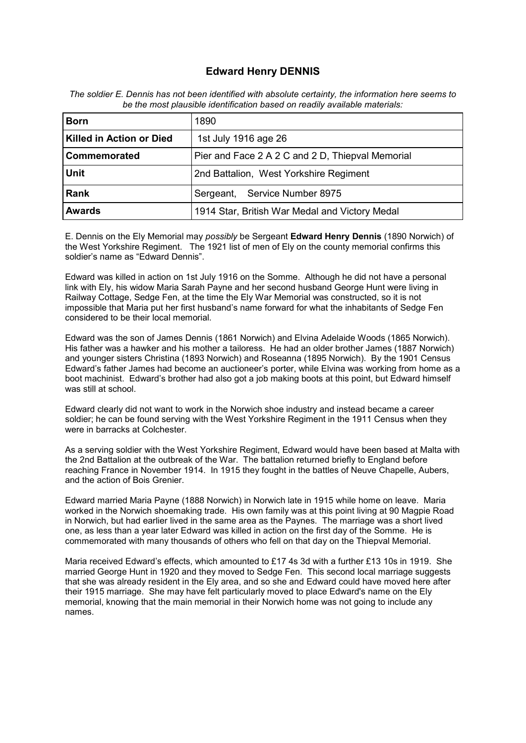## **Edward Henry DENNIS**

| <b>Born</b>              | 1890                                             |
|--------------------------|--------------------------------------------------|
| Killed in Action or Died | 1st July 1916 age 26                             |
| <b>Commemorated</b>      | Pier and Face 2 A 2 C and 2 D, Thiepval Memorial |
| <b>Unit</b>              | 2nd Battalion, West Yorkshire Regiment           |
| <b>Rank</b>              | Sergeant, Service Number 8975                    |
| <b>Awards</b>            | 1914 Star, British War Medal and Victory Medal   |

*The soldier E. Dennis has not been identified with absolute certainty, the information here seems to be the most plausible identification based on readily available materials:*

E. Dennis on the Ely Memorial may *possibly* be Sergeant **Edward Henry Dennis** (1890 Norwich) of the West Yorkshire Regiment. The 1921 list of men of Ely on the county memorial confirms this soldier's name as "Edward Dennis".

Edward was killed in action on 1st July 1916 on the Somme. Although he did not have a personal link with Ely, his widow Maria Sarah Payne and her second husband George Hunt were living in Railway Cottage, Sedge Fen, at the time the Ely War Memorial was constructed, so it is not impossible that Maria put her first husband's name forward for what the inhabitants of Sedge Fen considered to be their local memorial.

Edward was the son of James Dennis (1861 Norwich) and Elvina Adelaide Woods (1865 Norwich). His father was a hawker and his mother a tailoress. He had an older brother James (1887 Norwich) and younger sisters Christina (1893 Norwich) and Roseanna (1895 Norwich). By the 1901 Census Edward's father James had become an auctioneer's porter, while Elvina was working from home as a boot machinist. Edward's brother had also got a job making boots at this point, but Edward himself was still at school.

Edward clearly did not want to work in the Norwich shoe industry and instead became a career soldier; he can be found serving with the West Yorkshire Regiment in the 1911 Census when they were in barracks at Colchester.

As a serving soldier with the West Yorkshire Regiment, Edward would have been based at Malta with the 2nd Battalion at the outbreak of the War. The battalion returned briefly to England before reaching France in November 1914. In 1915 they fought in the battles of Neuve Chapelle, Aubers, and the action of Bois Grenier.

Edward married Maria Payne (1888 Norwich) in Norwich late in 1915 while home on leave. Maria worked in the Norwich shoemaking trade. His own family was at this point living at 90 Magpie Road in Norwich, but had earlier lived in the same area as the Paynes. The marriage was a short lived one, as less than a year later Edward was killed in action on the first day of the Somme. He is commemorated with many thousands of others who fell on that day on the Thiepval Memorial.

Maria received Edward's effects, which amounted to £17 4s 3d with a further £13 10s in 1919. She married George Hunt in 1920 and they moved to Sedge Fen. This second local marriage suggests that she was already resident in the Ely area, and so she and Edward could have moved here after their 1915 marriage. She may have felt particularly moved to place Edward's name on the Ely memorial, knowing that the main memorial in their Norwich home was not going to include any names.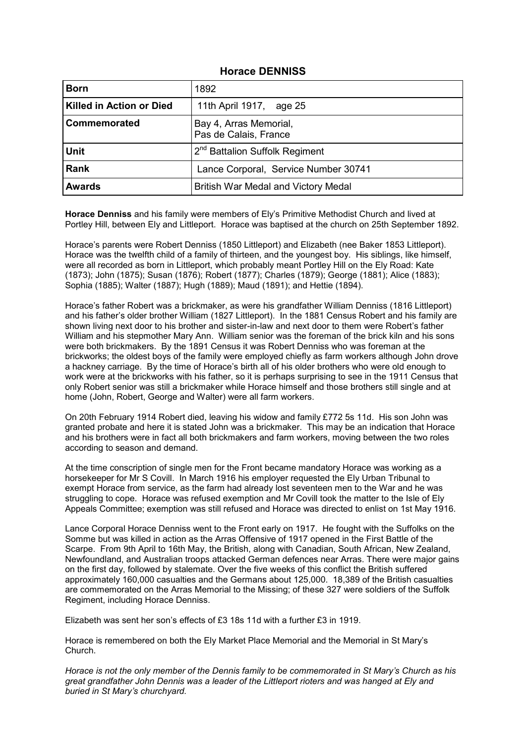### **Horace DENNISS**

| <b>Born</b>                     | 1892                                            |
|---------------------------------|-------------------------------------------------|
| <b>Killed in Action or Died</b> | 11th April 1917, age 25                         |
| Commemorated                    | Bay 4, Arras Memorial,<br>Pas de Calais, France |
| <b>Unit</b>                     | 2 <sup>nd</sup> Battalion Suffolk Regiment      |
| <b>Rank</b>                     | Lance Corporal, Service Number 30741            |
| <b>Awards</b>                   | British War Medal and Victory Medal             |

**Horace Denniss** and his family were members of Ely's Primitive Methodist Church and lived at Portley Hill, between Ely and Littleport. Horace was baptised at the church on 25th September 1892.

Horace's parents were Robert Denniss (1850 Littleport) and Elizabeth (nee Baker 1853 Littleport). Horace was the twelfth child of a family of thirteen, and the youngest boy. His siblings, like himself, were all recorded as born in Littleport, which probably meant Portley Hill on the Ely Road: Kate (1873); John (1875); Susan (1876); Robert (1877); Charles (1879); George (1881); Alice (1883); Sophia (1885); Walter (1887); Hugh (1889); Maud (1891); and Hettie (1894).

Horace's father Robert was a brickmaker, as were his grandfather William Denniss (1816 Littleport) and his father's older brother William (1827 Littleport). In the 1881 Census Robert and his family are shown living next door to his brother and sister-in-law and next door to them were Robert's father William and his stepmother Mary Ann. William senior was the foreman of the brick kiln and his sons were both brickmakers. By the 1891 Census it was Robert Denniss who was foreman at the brickworks; the oldest boys of the family were employed chiefly as farm workers although John drove a hackney carriage. By the time of Horace's birth all of his older brothers who were old enough to work were at the brickworks with his father, so it is perhaps surprising to see in the 1911 Census that only Robert senior was still a brickmaker while Horace himself and those brothers still single and at home (John, Robert, George and Walter) were all farm workers.

On 20th February 1914 Robert died, leaving his widow and family £772 5s 11d. His son John was granted probate and here it is stated John was a brickmaker. This may be an indication that Horace and his brothers were in fact all both brickmakers and farm workers, moving between the two roles according to season and demand.

At the time conscription of single men for the Front became mandatory Horace was working as a horsekeeper for Mr S Covill. In March 1916 his employer requested the Ely Urban Tribunal to exempt Horace from service, as the farm had already lost seventeen men to the War and he was struggling to cope. Horace was refused exemption and Mr Covill took the matter to the Isle of Ely Appeals Committee; exemption was still refused and Horace was directed to enlist on 1st May 1916.

Lance Corporal Horace Denniss went to the Front early on 1917. He fought with the Suffolks on the Somme but was killed in action as the Arras Offensive of 1917 opened in the First Battle of the Scarpe. From 9th April to 16th May, the British, along with Canadian, South African, New Zealand, Newfoundland, and Australian troops attacked German defences near Arras. There were major gains on the first day, followed by stalemate. Over the five weeks of this conflict the British suffered approximately 160,000 casualties and the Germans about 125,000. 18,389 of the British casualties are commemorated on the Arras Memorial to the Missing; of these 327 were soldiers of the Suffolk Regiment, including Horace Denniss.

Elizabeth was sent her son's effects of £3 18s 11d with a further £3 in 1919.

Horace is remembered on both the Ely Market Place Memorial and the Memorial in St Mary's Church.

*Horace is not the only member of the Dennis family to be commemorated in St Mary's Church as his great grandfather John Dennis was a leader of the Littleport rioters and was hanged at Ely and buried in St Mary's churchyard.*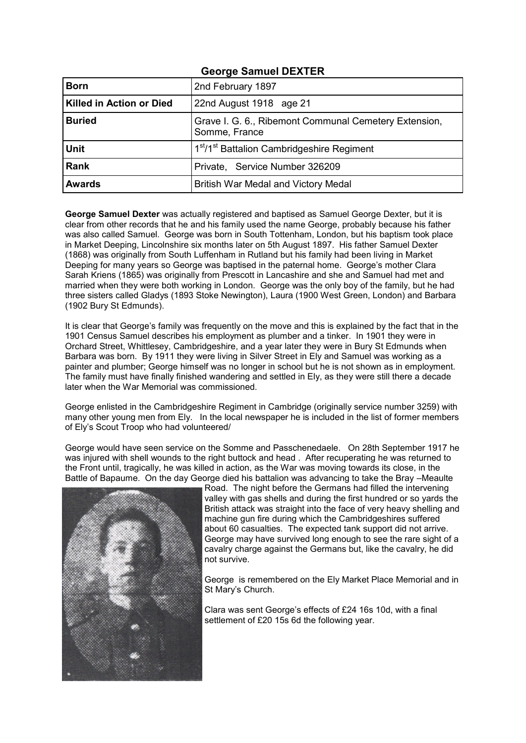| <b>Born</b>              | 2nd February 1897                                                      |
|--------------------------|------------------------------------------------------------------------|
| Killed in Action or Died | 22nd August 1918 age 21                                                |
| <b>Buried</b>            | Grave I. G. 6., Ribemont Communal Cemetery Extension,<br>Somme, France |
| <b>Unit</b>              | 1 <sup>st</sup> /1 <sup>st</sup> Battalion Cambridgeshire Regiment     |
| Rank                     | Private, Service Number 326209                                         |
| <b>Awards</b>            | British War Medal and Victory Medal                                    |

# **George Samuel DEXTER**

**George Samuel Dexter** was actually registered and baptised as Samuel George Dexter, but it is clear from other records that he and his family used the name George, probably because his father was also called Samuel. George was born in South Tottenham, London, but his baptism took place in Market Deeping, Lincolnshire six months later on 5th August 1897. His father Samuel Dexter (1868) was originally from South Luffenham in Rutland but his family had been living in Market Deeping for many years so George was baptised in the paternal home. George's mother Clara Sarah Kriens (1865) was originally from Prescott in Lancashire and she and Samuel had met and married when they were both working in London. George was the only boy of the family, but he had three sisters called Gladys (1893 Stoke Newington), Laura (1900 West Green, London) and Barbara (1902 Bury St Edmunds).

It is clear that George's family was frequently on the move and this is explained by the fact that in the 1901 Census Samuel describes his employment as plumber and a tinker. In 1901 they were in Orchard Street, Whittlesey, Cambridgeshire, and a year later they were in Bury St Edmunds when Barbara was born. By 1911 they were living in Silver Street in Ely and Samuel was working as a painter and plumber; George himself was no longer in school but he is not shown as in employment. The family must have finally finished wandering and settled in Ely, as they were still there a decade later when the War Memorial was commissioned.

George enlisted in the Cambridgeshire Regiment in Cambridge (originally service number 3259) with many other young men from Ely. In the local newspaper he is included in the list of former members of Ely's Scout Troop who had volunteered/

George would have seen service on the Somme and Passchenedaele. On 28th September 1917 he was injured with shell wounds to the right buttock and head . After recuperating he was returned to the Front until, tragically, he was killed in action, as the War was moving towards its close, in the Battle of Bapaume. On the day George died his battalion was advancing to take the Bray –Meaulte



Road. The night before the Germans had filled the intervening valley with gas shells and during the first hundred or so yards the British attack was straight into the face of very heavy shelling and machine gun fire during which the Cambridgeshires suffered about 60 casualties. The expected tank support did not arrive. George may have survived long enough to see the rare sight of a cavalry charge against the Germans but, like the cavalry, he did not survive.

George is remembered on the Ely Market Place Memorial and in St Mary's Church.

Clara was sent George's effects of £24 16s 10d, with a final settlement of £20 15s 6d the following year.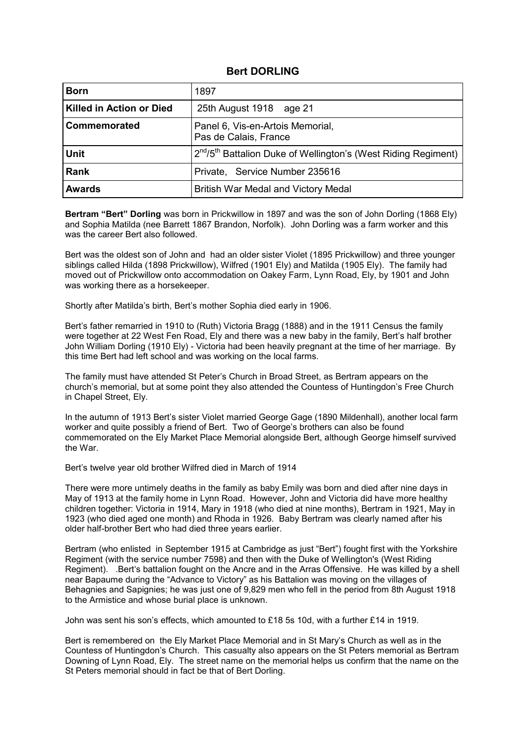#### **Bert DORLING**

| <b>Born</b>                     | 1897                                                                                   |
|---------------------------------|----------------------------------------------------------------------------------------|
| <b>Killed in Action or Died</b> | 25th August 1918 age 21                                                                |
| Commemorated                    | Panel 6, Vis-en-Artois Memorial,<br>Pas de Calais, France                              |
| <b>Unit</b>                     | 2 <sup>nd</sup> /5 <sup>th</sup> Battalion Duke of Wellington's (West Riding Regiment) |
| <b>Rank</b>                     | Private, Service Number 235616                                                         |
| <b>Awards</b>                   | British War Medal and Victory Medal                                                    |

**Bertram "Bert" Dorling** was born in Prickwillow in 1897 and was the son of John Dorling (1868 Ely) and Sophia Matilda (nee Barrett 1867 Brandon, Norfolk). John Dorling was a farm worker and this was the career Bert also followed.

Bert was the oldest son of John and had an older sister Violet (1895 Prickwillow) and three younger siblings called Hilda (1898 Prickwillow), Wilfred (1901 Ely) and Matilda (1905 Ely). The family had moved out of Prickwillow onto accommodation on Oakey Farm, Lynn Road, Ely, by 1901 and John was working there as a horsekeeper.

Shortly after Matilda's birth, Bert's mother Sophia died early in 1906.

Bert's father remarried in 1910 to (Ruth) Victoria Bragg (1888) and in the 1911 Census the family were together at 22 West Fen Road, Ely and there was a new baby in the family, Bert's half brother John William Dorling (1910 Ely) - Victoria had been heavily pregnant at the time of her marriage. By this time Bert had left school and was working on the local farms.

The family must have attended St Peter's Church in Broad Street, as Bertram appears on the church's memorial, but at some point they also attended the Countess of Huntingdon's Free Church in Chapel Street, Ely.

In the autumn of 1913 Bert's sister Violet married George Gage (1890 Mildenhall), another local farm worker and quite possibly a friend of Bert. Two of George's brothers can also be found commemorated on the Ely Market Place Memorial alongside Bert, although George himself survived the War.

Bert's twelve year old brother Wilfred died in March of 1914

There were more untimely deaths in the family as baby Emily was born and died after nine days in May of 1913 at the family home in Lynn Road. However, John and Victoria did have more healthy children together: Victoria in 1914, Mary in 1918 (who died at nine months), Bertram in 1921, May in 1923 (who died aged one month) and Rhoda in 1926. Baby Bertram was clearly named after his older half-brother Bert who had died three years earlier.

Bertram (who enlisted in September 1915 at Cambridge as just "Bert") fought first with the Yorkshire Regiment (with the service number 7598) and then with the Duke of Wellington's (West Riding Regiment). .Bert's battalion fought on the Ancre and in the Arras Offensive. He was killed by a shell near Bapaume during the "Advance to Victory" as his Battalion was moving on the villages of Behagnies and Sapignies; he was just one of 9,829 men who fell in the period from 8th August 1918 to the Armistice and whose burial place is unknown.

John was sent his son's effects, which amounted to £18 5s 10d, with a further £14 in 1919.

Bert is remembered on the Ely Market Place Memorial and in St Mary's Church as well as in the Countess of Huntingdon's Church. This casualty also appears on the St Peters memorial as Bertram Downing of Lynn Road, Ely. The street name on the memorial helps us confirm that the name on the St Peters memorial should in fact be that of Bert Dorling.